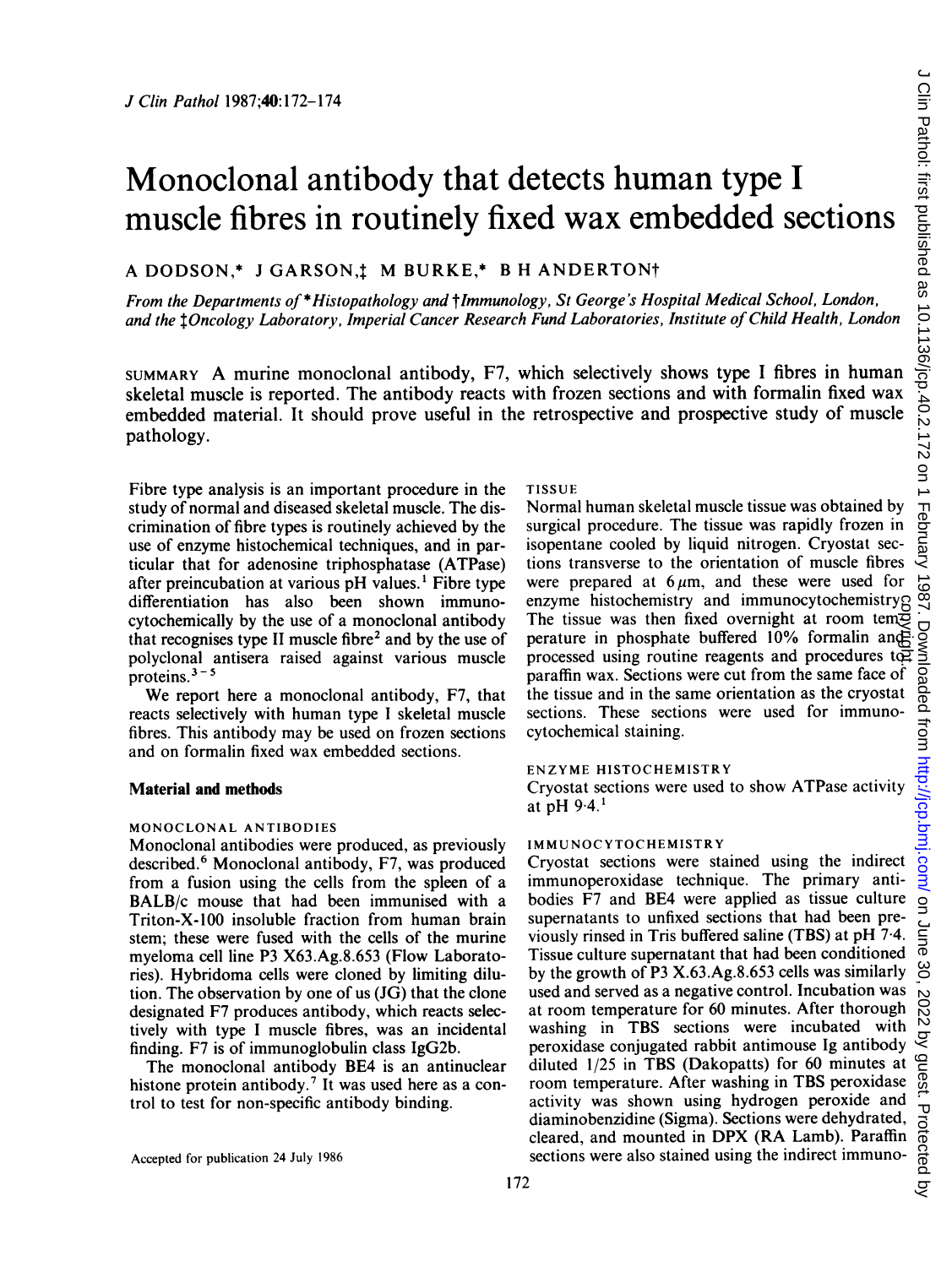# Monoclonal antibody that detects human type <sup>I</sup> muscle fibres in routinely fixed wax embedded sections

## A DODSON,\* J GARSON,t M BURKE,\* B H ANDERTON<sup>†</sup>

From the Departments of \*Histopathology and tlmmunology, St George's Hospital Medical School, London, and the <sup>I</sup> Oncology Laboratory, Imperial Cancer Research Fund Laboratories, Institute of Child Health, London

SUMMARY A murine monoclonal antibody, F7, which selectively shows type <sup>I</sup> fibres in human skeletal muscle is reported. The antibody reacts with frozen sections and with formalin fixed wax embedded material. It should prove useful in the retrospective and prospective study of muscle pathology.

Fibre type analysis is an important procedure in the study of normal and diseased skeletal muscle. The discrimination of fibre types is routinely achieved by the use of enzyme histochemical techniques, and in particular that for adenosine triphosphatase (ATPase) after preincubation at various pH values.' Fibre type differentiation has also been shown immunocytochemically by the use of a monoclonal antibody that recognises type II muscle fibre<sup>2</sup> and by the use of polyclonal antisera raised against various muscle proteins. $3 - 5$ 

We report here <sup>a</sup> monoclonal antibody, F7, that reacts selectively with human type <sup>I</sup> skeletal muscle fibres. This antibody may be used on frozen sections and on formalin fixed wax embedded sections.

#### Material and methods

#### MONOCLONAL ANTIBODIES

Monoclonal antibodies were produced, as previously described.<sup>6</sup> Monoclonal antibody, F7, was produced from a fusion using the cells from the spleen of a BALB/c mouse that had been immunised with a Triton-X-100 insoluble fraction from human brain stem; these were fused with the cells of the murine myeloma cell line P3 X63.Ag.8.653 (Flow Laboratories). Hybridoma cells were cloned by limiting dilution. The observation by one of us (JG) that the clone designated F7 produces antibody, which reacts selectively with type <sup>I</sup> muscle fibres, was an incidental finding. F7 is of immunoglobulin class IgG2b.

The monoclonal antibody BE4 is an antinuclear histone protein antibody.<sup>7</sup> It was used here as a control to test for non-specific antibody binding.

#### TISSUE

Normal human skeletal muscle tissue was obtained by surgical procedure. The tissue was rapidly frozen in isopentane cooled by liquid nitrogen. Cryostat sections transverse to the orientation of muscle fibres were prepared at  $6 \mu m$ , and these were used for enzyme histochemistry and immunocytochemistry. The tissue was then fixed overnight at room tem $\Xi$ perature in phosphate buffered 10% formalin and processed using routine reagents and procedures to paraffin wax. Sections were cut from the same face of the tissue and in the same orientation as the cryostat sections. These sections were used for immunocytochemical staining.

#### ENZYME HISTOCHEMISTRY

Cryostat sections were used to show ATPase activity at  $pH 9.4.1$ 

### IMMUNOCYTOCHEMISTRY

Cryostat sections were stained using the indirect immunoperoxidase technique. The primary antibodies F7 and BE4 were applied as tissue culture supernatants to unfixed sections that had been previously rinsed in Tris buffered saline (TBS) at pH 7-4. Tissue culture supernatant that had been conditioned by the growth of P3 X.63.Ag.8.653 cells was similarly used and served as a negative control. Incubation was at room temperature for 60 minutes. After thorough washing in TBS sections were incubated with peroxidase conjugated rabbit antimouse Ig antibody diluted 1/25 in TBS (Dakopatts) for 60 minutes at room temperature. After washing in TBS peroxidase activity was shown using hydrogen peroxide and diaminobenzidine (Sigma). Sections were dehydrated, cleared, and mounted in DPX (RA Lamb). Paraffin sections were also stained using the indirect immunoenzyme histochemistry and minimorytochemistry and minimorytochemistry<br>The tissue was then fixed overnight at room temperature in phosphate buffered 10% formalin angle<br>processed using routine reagents and procedures tep<br>par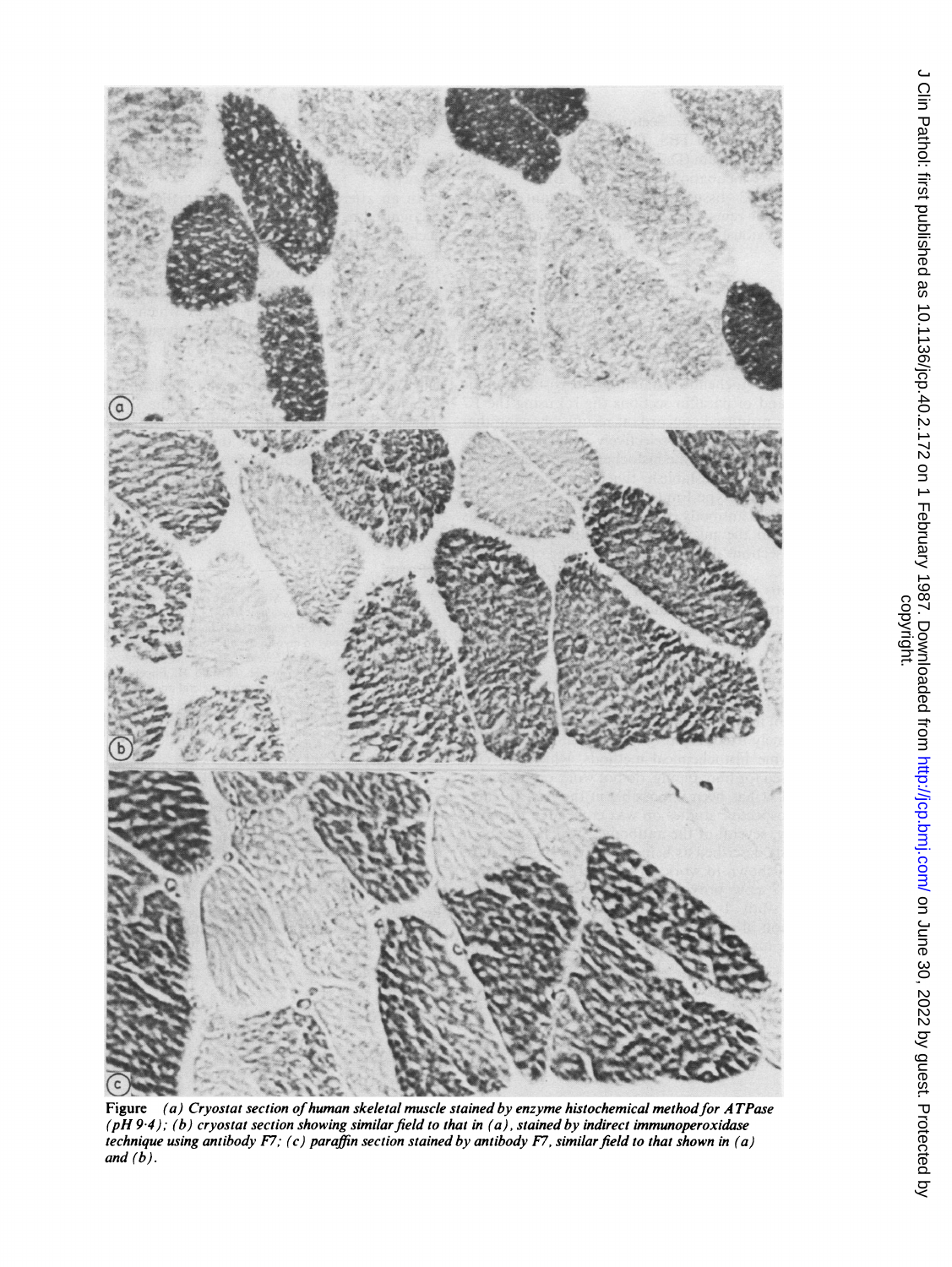

Figure (a) Cryostat section of human skeletal muscle stained by enzyme histochemical method for ATPase (pH 9·4); (b) cryostat section showing similar field to that in (a), stained by indirect immunoperoxidase technique using antibody F7; (c) paraffin section stained by antibody F7, similar field to that shown in (a) and (b).